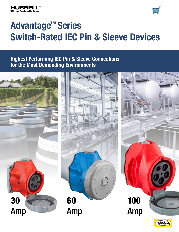



# **Advantage™ Series Switch-Rated IEC Pin & Sleeve Devices**

# **Highest Performing IEC Pin & Sleeve Connections for the Most Demanding Environments**

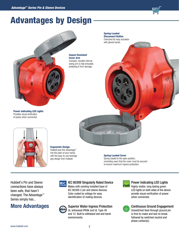

# Advantages by Design



Power Indicating LED Lights Provides visual verification of power when connected.



Ergonomic Design Hubbell puts the Advantage<sup>™</sup> into the palm of your hands with the easy-to-use leverage grip design from Hubbell.

#### Spring-Loaded Cover

 $-1$ 

Spring-loaded to the open position, reminding users that the cover must be secured to ensure maximum ingress protection.

Hubbell's Pin and Sleeve connections have always been safe, that hasn't changed. The Advantage™ Series simply has...

# **More Advantages**



P69k

# **IEC IEC 60309 Singularly Rated Device**

Mates with existing installed base of IEC 60309-2 pin and sleeve devices. Color coded by voltage for easy identification of mating devices.

## Superior Water Ingress Protection

UL witnessed IP69k and UL Type 4X and 12. Built to withstand wet and harsh environments.



## Power Indicating LED Lights

Highly visible, long lasting green LED lights on both sides of the device provide visual verification of power when connected.



# Continuous Ground Engagement

Unswitched feed-through ground pin is first-to-make and last-to-break followed by switched neutral and phase contact(s).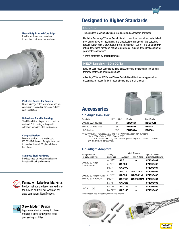### Heavy Duty External Cord Grips

Provide maximum cord retention to maintain unstressed terminations.



#### Pocketed Recess for Screws

Deters slippage of the screwdriver and are conveniently located on the same side for easy installation.

#### Robust and Durable Housing

The UV-stabilized, impact and corrosionresistant PBT housing is designed to withstand harsh industrial environments.

#### Compact Design

Device is similar in size to standard IEC 60309-2 devices. Receptacles mount to standard Hubbell IEC pin and sleeve back boxes.

#### Stainless Steel Hardware

Provides superior corrosion resistance in wet and harsh environments.

### Permanent Labelless Markings

Product ratings are laser-marked into the device and will not wash off for easy permanent identification.

### Sleek Modern Design



Ergonomic device is easy to clean, making it ideal for hygienic food processing facilities.

# Designed to Higher Standards

### UL 2682

The standard to which all switch-rated plug and connectors are tested.

Hubbell's Advantage™ Series Switch-Rated connections passed and established new benchmarks for mechanical and electrical performance in this category. Robust **100kA** Max Short Circuit Current Interruption (SCCR)\*, and up to a **50HP** rating, far exceed most application requirements, making it the ideal solution for your motor connections.

\* When protected by appropriate fuse.

### NEC® Section 430.102(B)

Requires each motor controller to have a disconnecting means within line of sight from the motor and driven equipment.

Advantage™ Series IEC Pin and Sleeve Switch-Rated Devices are approved as disconnecting means for both motor circuits and branch circuits.

# **Accessories**



wiring Device-Kellems in de

## **15º Angle Back Box**

| -                  |                  |                |                |  |  |
|--------------------|------------------|----------------|----------------|--|--|
| Description        | NPT Hub Size*    | Metallic       | Non-Metallic   |  |  |
| 30 and 32A devices | 1 "              | <b>BB301W</b>  | <b>BB2030N</b> |  |  |
| 60 and 63A devices | $1\frac{1}{4}$ " | <b>BB601W</b>  | <b>BB60N</b>   |  |  |
| 100 devices        | 11/5"            | <b>BB1001W</b> | <b>BB100N</b>  |  |  |

*Note: \*Hub is not included; order one of the following Raco® part numbers:* 

*1 in. = 1704, 1¼ in. = 1705, 1½ in. = 1706. These boxes meets IP67 requirement and Type 4X requirements when installed with a watertight conduit hub.*

#### **Liquidtight Adapters**

| Rating of Hubbell                            | Liquidtight            |                   | <b>Liquidtight Adapters</b> | <b>Optional Kellems</b><br>Liquidtight Conduit Grip |  |
|----------------------------------------------|------------------------|-------------------|-----------------------------|-----------------------------------------------------|--|
| Pin and Sleeve Device                        | <b>Conduit Size</b>    | Aluminum          | Non-Metallic                |                                                     |  |
| 30 and 32 Amp<br>3 and 4 wire                | $1/2$ " NPT            | <b>SAB12</b>      |                             | 074093402                                           |  |
|                                              | 3/ <sub>4</sub> " NPT  | SAB <sub>34</sub> |                             | 074093403                                           |  |
|                                              | 1" NPT                 | <b>SAB100</b>     |                             | 074093404                                           |  |
| 30 and 32 Amp 5 wire;<br>60 and 63 Amp (all) | 1/ <sub>2</sub> " NPT  | <b>SAC12</b>      | SAC <sub>12</sub> NM        | 074093402                                           |  |
|                                              | 3/ <sub>4</sub> " NPT  | SAC <sub>34</sub> | SAC34NM                     | 074093403                                           |  |
|                                              | 1" NPT                 | <b>SAC100</b>     | SAC100NM                    | 074093404                                           |  |
|                                              | 11/ <sub>4</sub> " NPT | <b>SAC125</b>     |                             | 074093405                                           |  |
|                                              | 11/ <sub>4</sub> " NPT | <b>SAD125</b>     |                             | 074093405                                           |  |
| 100 Amp (all)                                | 1½" NPT                | <b>SAD150</b>     |                             | 074093406                                           |  |

*Note: Please see our catalog for full line offering.*